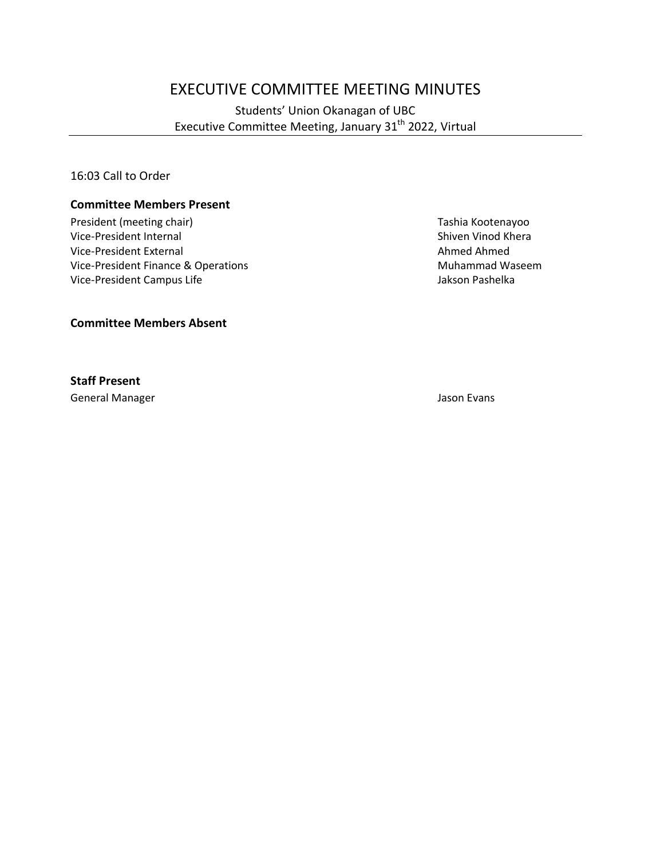# EXECUTIVE COMMITTEE MEETING MINUTES

Students' Union Okanagan of UBC Executive Committee Meeting, January 31<sup>th</sup> 2022, Virtual

16:03 Call to Order

#### **Committee Members Present**

President (meeting chair) Tashia Kootenayoo Vice-President Internal and Shiven Vinod Khera<br>
Vice-President External and Shiven Vinod Khera<br>
Shiven Vinod Khera Vice-President External Vice-President Finance & Operations Muhammad Waseem Vice-President Campus Life **Jakson Pashelka** 

**Committee Members Absent**

**Staff Present**

General Manager Jason Evans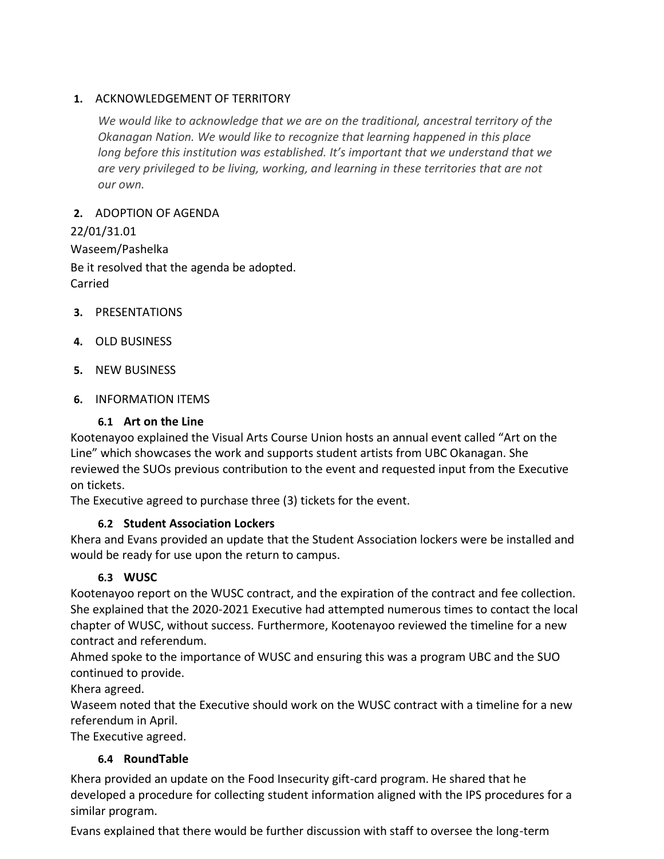#### **1.** ACKNOWLEDGEMENT OF TERRITORY

*We would like to acknowledge that we are on the traditional, ancestral territory of the Okanagan Nation. We would like to recognize that learning happened in this place long before this institution was established. It's important that we understand that we are very privileged to be living, working, and learning in these territories that are not our own.*

## **2.** ADOPTION OF AGENDA

22/01/31.01 Waseem/Pashelka Be it resolved that the agenda be adopted. Carried

- **3.** PRESENTATIONS
- **4.** OLD BUSINESS
- **5.** NEW BUSINESS
- **6.** INFORMATION ITEMS

## **6.1 Art on the Line**

Kootenayoo explained the Visual Arts Course Union hosts an annual event called "Art on the Line" which showcases the work and supports student artists from UBC Okanagan. She reviewed the SUOs previous contribution to the event and requested input from the Executive on tickets.

The Executive agreed to purchase three (3) tickets for the event.

# **6.2 Student Association Lockers**

Khera and Evans provided an update that the Student Association lockers were be installed and would be ready for use upon the return to campus.

# **6.3 WUSC**

Kootenayoo report on the WUSC contract, and the expiration of the contract and fee collection. She explained that the 2020-2021 Executive had attempted numerous times to contact the local chapter of WUSC, without success. Furthermore, Kootenayoo reviewed the timeline for a new contract and referendum.

Ahmed spoke to the importance of WUSC and ensuring this was a program UBC and the SUO continued to provide.

Khera agreed.

Waseem noted that the Executive should work on the WUSC contract with a timeline for a new referendum in April.

The Executive agreed.

# **6.4 RoundTable**

Khera provided an update on the Food Insecurity gift-card program. He shared that he developed a procedure for collecting student information aligned with the IPS procedures for a similar program.

Evans explained that there would be further discussion with staff to oversee the long-term